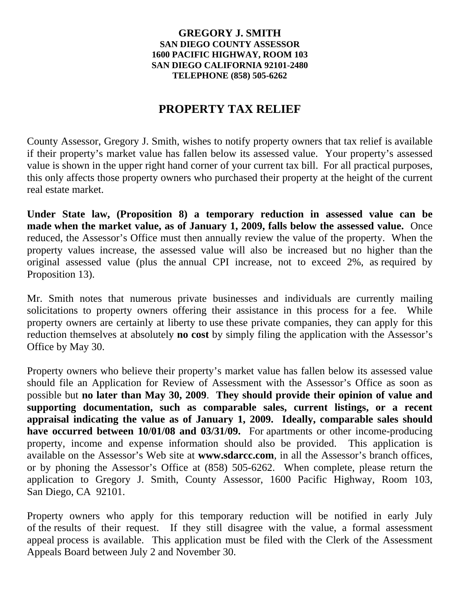## **GREGORY J. SMITH SAN DIEGO COUNTY ASSESSOR 1600 PACIFIC HIGHWAY, ROOM 103 SAN DIEGO CALIFORNIA 92101-2480 TELEPHONE (858) 505-6262**

## **PROPERTY TAX RELIEF**

County Assessor, Gregory J. Smith, wishes to notify property owners that tax relief is available if their property's market value has fallen below its assessed value. Your property's assessed value is shown in the upper right hand corner of your current tax bill. For all practical purposes, this only affects those property owners who purchased their property at the height of the current real estate market.

**Under State law, (Proposition 8) a temporary reduction in assessed value can be made when the market value, as of January 1, 2009, falls below the assessed value.** Once reduced, the Assessor's Office must then annually review the value of the property. When the property values increase, the assessed value will also be increased but no higher than the original assessed value (plus the annual CPI increase, not to exceed 2%, as required by Proposition 13).

Mr. Smith notes that numerous private businesses and individuals are currently mailing solicitations to property owners offering their assistance in this process for a fee. While property owners are certainly at liberty to use these private companies, they can apply for this reduction themselves at absolutely **no cost** by simply filing the application with the Assessor's Office by May 30.

Property owners who believe their property's market value has fallen below its assessed value should file an Application for Review of Assessment with the Assessor's Office as soon as possible but **no later than May 30, 2009**. **They should provide their opinion of value and supporting documentation, such as comparable sales, current listings, or a recent appraisal indicating the value as of January 1, 2009. Ideally, comparable sales should have occurred between 10/01/08 and 03/31/09.** For apartments or other income-producing property, income and expense information should also be provided. This application is available on the Assessor's Web site at **www.sdarcc.com**, in all the Assessor's branch offices, or by phoning the Assessor's Office at (858) 505-6262. When complete, please return the application to Gregory J. Smith, County Assessor, 1600 Pacific Highway, Room 103, San Diego, CA 92101.

Property owners who apply for this temporary reduction will be notified in early July of the results of their request. If they still disagree with the value, a formal assessment appeal process is available. This application must be filed with the Clerk of the Assessment Appeals Board between July 2 and November 30.